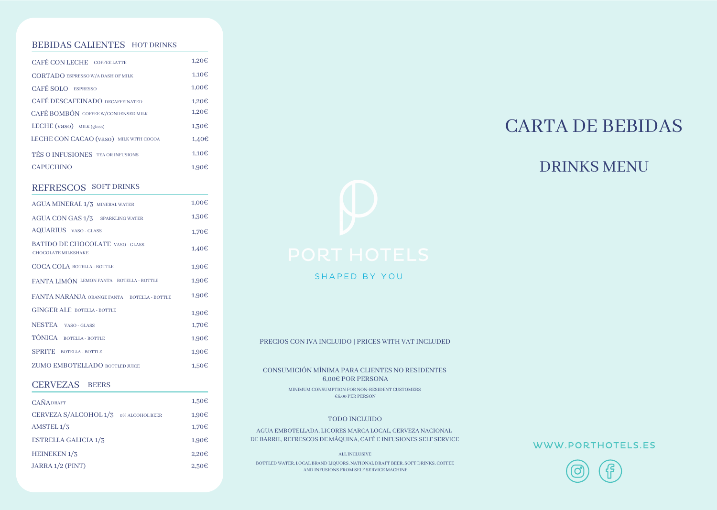#### BEBIDAS CALIENTES HOT DRINKS

| <b>CAFÉ CON LECHE COFFEE LATTE</b>       | 1,20E |
|------------------------------------------|-------|
| <b>CORTADO ESPRESSO W/A DASH OF MILK</b> | 1.10E |
| <b>CAFÉ SOLO</b> ESPRESSO                | 1,00€ |
| CAFÉ DESCAFEINADO DECAFFEINATED          | 1.20E |
| CAFÉ BOMBÓN COFFEE W/CONDENSED MILK      | 1.20E |
| LECHE (vaso) MILK (glass)                | 1.30E |
| LECHE CON CACAO (vaso) MILK WITH COCOA   | 1.40€ |
| TÉS O INFUSIONES TEA OR INFUSIONS        | 1.10E |
| <b>CAPUCHINO</b>                         | 1.90E |

### REFRESCOS SOFT DRINKS

| AGUA MINERAL 1/3 MINERAL WATER                                        | 1,00E |
|-----------------------------------------------------------------------|-------|
| AGUA CON GAS 1/3 SPARKLING WATER                                      | 1,30€ |
| <b>AQUARIUS</b> VASO - GLASS                                          | 1,70€ |
| <b>BATIDO DE CHOCOLATE VASO - GLASS</b><br><b>CHOCOLATE MILKSHAKE</b> | 1,40€ |
| COCA COLA BOTELLA - BOTTLE                                            | 1,90€ |
| FANTA LIMÓN LEMON FANTA BOTELLA - BOTTLE                              | 1,90€ |
| FANTA NARANJA ORANGE FANTA BOTELLA - BOTTLE                           | 1,90€ |
| <b>GINGER ALE BOTELLA - BOTTLE</b>                                    | 1,90€ |
| NESTEA VASO-GLASS                                                     | 1,70€ |
| TÓNICA BOTELLA - BOTTLE                                               | 1,90€ |
| <b>SPRITE</b> BOTELLA - BOTTLE                                        | 1,90€ |
| <b>ZUMO EMBOTELLADO BOTTLED JUICE</b>                                 | 1.50E |
|                                                                       |       |

#### CERVEZAS BEERS

| <b>CAÑADRAFT</b>            |                 | 1,50E             |
|-----------------------------|-----------------|-------------------|
| CERVEZA S/ALCOHOL 1/3       | 0% ALCOHOL BEER | 1,90E             |
| AMSTEL $1/3$                |                 | 1,70E             |
| <b>ESTRELLA GALICIA 1/3</b> |                 | 1.90€             |
| HEINEKEN <sub>1</sub> /3    |                 | 2.20 <sub>ε</sub> |
| JARRA 1/2 (PINT)            |                 | 2.50E             |

# CARTA DE BEBIDAS

# DRINKS MENU



SHAPED BY YOU

PRECIOS CON IVA INCLUIDO | PRICES WITH VAT INCLUDED

CONSUMICIÓN MÍNIMA PARA CLIENTES NO RESIDENTES 6,00€ POR PERSONA MINIMUM CONSUMPTION FOR NON-RESIDENT CUSTOMERS

€6.00 PER PERSON

#### TODO INCLUIDO

AGUA EMBOTELLADA, LICORES MARCA LOCAL, CERVEZA NACIONAL DE BARRIL, REFRESCOS DE MÁQUINA, CAFÉ E INFUSIONES SELF SERVICE

ALL INCLUSIVE

BOTTLED WATER, LOCAL BRAND LIQUORS, NATIONAL DRAFT BEER, SOFT DRINKS, COFFEE AND INFUSIONS FROM SELF SERVICE MACHINE

#### WWW.PORTHOTELS.ES